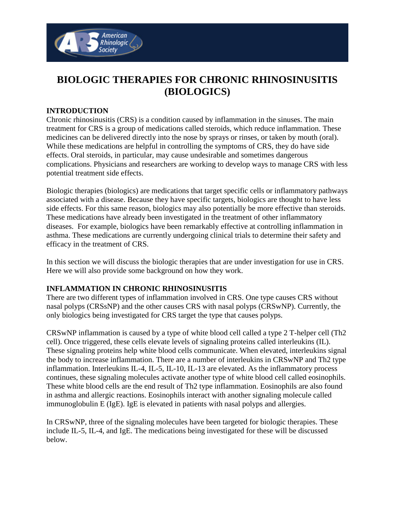

# **BIOLOGIC THERAPIES FOR CHRONIC RHINOSINUSITIS (BIOLOGICS)**

#### **INTRODUCTION**

Chronic rhinosinusitis (CRS) is a condition caused by inflammation in the sinuses. The main treatment for CRS is a group of medications called steroids, which reduce inflammation. These medicines can be delivered directly into the nose by sprays or rinses, or taken by mouth (oral). While these medications are helpful in controlling the symptoms of CRS, they do have side effects. Oral steroids, in particular, may cause undesirable and sometimes dangerous complications. Physicians and researchers are working to develop ways to manage CRS with less potential treatment side effects.

Biologic therapies (biologics) are medications that target specific cells or inflammatory pathways associated with a disease. Because they have specific targets, biologics are thought to have less side effects. For this same reason, biologics may also potentially be more effective than steroids. These medications have already been investigated in the treatment of other inflammatory diseases. For example, biologics have been remarkably effective at controlling inflammation in asthma. These medications are currently undergoing clinical trials to determine their safety and efficacy in the treatment of CRS.

In this section we will discuss the biologic therapies that are under investigation for use in CRS. Here we will also provide some background on how they work.

#### **INFLAMMATION IN CHRONIC RHINOSINUSITIS**

There are two different types of inflammation involved in CRS. One type causes CRS without nasal polyps (CRSsNP) and the other causes CRS with nasal polyps (CRSwNP). Currently, the only biologics being investigated for CRS target the type that causes polyps.

CRSwNP inflammation is caused by a type of white blood cell called a type 2 T-helper cell (Th2 cell). Once triggered, these cells elevate levels of signaling proteins called interleukins (IL). These signaling proteins help white blood cells communicate. When elevated, interleukins signal the body to increase inflammation. There are a number of interleukins in CRSwNP and Th2 type inflammation. Interleukins IL-4, IL-5, IL-10, IL-13 are elevated. As the inflammatory process continues, these signaling molecules activate another type of white blood cell called eosinophils. These white blood cells are the end result of Th2 type inflammation. Eosinophils are also found in asthma and allergic reactions. Eosinophils interact with another signaling molecule called immunoglobulin E (IgE). IgE is elevated in patients with nasal polyps and allergies.

In CRSwNP, three of the signaling molecules have been targeted for biologic therapies. These include IL-5, IL-4, and IgE. The medications being investigated for these will be discussed below.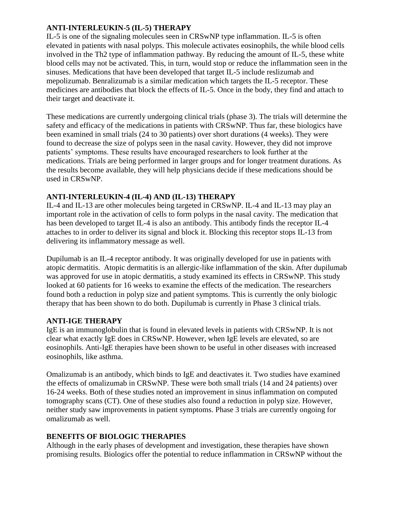## **ANTI-INTERLEUKIN-5 (IL-5) THERAPY**

IL-5 is one of the signaling molecules seen in CRSwNP type inflammation. IL-5 is often elevated in patients with nasal polyps. This molecule activates eosinophils, the while blood cells involved in the Th2 type of inflammation pathway. By reducing the amount of IL-5, these white blood cells may not be activated. This, in turn, would stop or reduce the inflammation seen in the sinuses. Medications that have been developed that target IL-5 include reslizumab and mepolizumab. Benralizumab is a similar medication which targets the IL-5 receptor. These medicines are antibodies that block the effects of IL-5. Once in the body, they find and attach to their target and deactivate it.

These medications are currently undergoing clinical trials (phase 3). The trials will determine the safety and efficacy of the medications in patients with CRSwNP. Thus far, these biologics have been examined in small trials (24 to 30 patients) over short durations (4 weeks). They were found to decrease the size of polyps seen in the nasal cavity. However, they did not improve patients' symptoms. These results have encouraged researchers to look further at the medications. Trials are being performed in larger groups and for longer treatment durations. As the results become available, they will help physicians decide if these medications should be used in CRSwNP.

### **ANTI-INTERLEUKIN-4 (IL-4) AND (IL-13) THERAPY**

IL-4 and IL-13 are other molecules being targeted in CRSwNP. IL-4 and IL-13 may play an important role in the activation of cells to form polyps in the nasal cavity. The medication that has been developed to target IL-4 is also an antibody. This antibody finds the receptor IL-4 attaches to in order to deliver its signal and block it. Blocking this receptor stops IL-13 from delivering its inflammatory message as well.

Dupilumab is an IL-4 receptor antibody. It was originally developed for use in patients with atopic dermatitis. Atopic dermatitis is an allergic-like inflammation of the skin. After dupilumab was approved for use in atopic dermatitis, a study examined its effects in CRSwNP. This study looked at 60 patients for 16 weeks to examine the effects of the medication. The researchers found both a reduction in polyp size and patient symptoms. This is currently the only biologic therapy that has been shown to do both. Dupilumab is currently in Phase 3 clinical trials.

#### **ANTI-IGE THERAPY**

IgE is an immunoglobulin that is found in elevated levels in patients with CRSwNP. It is not clear what exactly IgE does in CRSwNP. However, when IgE levels are elevated, so are eosinophils. Anti-IgE therapies have been shown to be useful in other diseases with increased eosinophils, like asthma.

Omalizumab is an antibody, which binds to IgE and deactivates it. Two studies have examined the effects of omalizumab in CRSwNP. These were both small trials (14 and 24 patients) over 16-24 weeks. Both of these studies noted an improvement in sinus inflammation on computed tomography scans (CT). One of these studies also found a reduction in polyp size. However, neither study saw improvements in patient symptoms. Phase 3 trials are currently ongoing for omalizumab as well.

# **BENEFITS OF BIOLOGIC THERAPIES**

Although in the early phases of development and investigation, these therapies have shown promising results. Biologics offer the potential to reduce inflammation in CRSwNP without the